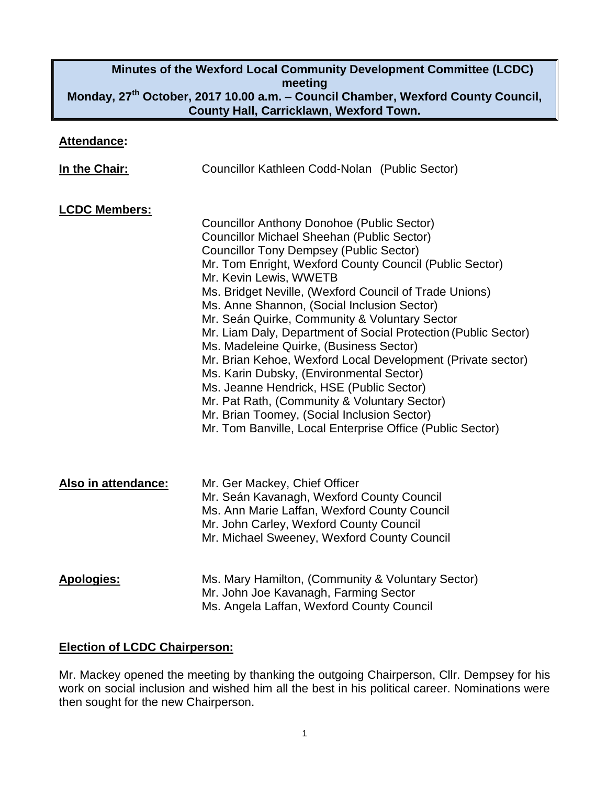# **Minutes of the Wexford Local Community Development Committee (LCDC) meeting Monday, 27th October, 2017 10.00 a.m. – Council Chamber, Wexford County Council, County Hall, Carricklawn, Wexford Town.**

#### **Attendance:**

| In the Chair:        | Councillor Kathleen Codd-Nolan (Public Sector)                                                                                                                                                                                                                                                                                                                                                                                                                                                                                                                                                                                                                                                                                                                                                                                   |
|----------------------|----------------------------------------------------------------------------------------------------------------------------------------------------------------------------------------------------------------------------------------------------------------------------------------------------------------------------------------------------------------------------------------------------------------------------------------------------------------------------------------------------------------------------------------------------------------------------------------------------------------------------------------------------------------------------------------------------------------------------------------------------------------------------------------------------------------------------------|
| <b>LCDC Members:</b> | Councillor Anthony Donohoe (Public Sector)<br><b>Councillor Michael Sheehan (Public Sector)</b><br><b>Councillor Tony Dempsey (Public Sector)</b><br>Mr. Tom Enright, Wexford County Council (Public Sector)<br>Mr. Kevin Lewis, WWETB<br>Ms. Bridget Neville, (Wexford Council of Trade Unions)<br>Ms. Anne Shannon, (Social Inclusion Sector)<br>Mr. Seán Quirke, Community & Voluntary Sector<br>Mr. Liam Daly, Department of Social Protection (Public Sector)<br>Ms. Madeleine Quirke, (Business Sector)<br>Mr. Brian Kehoe, Wexford Local Development (Private sector)<br>Ms. Karin Dubsky, (Environmental Sector)<br>Ms. Jeanne Hendrick, HSE (Public Sector)<br>Mr. Pat Rath, (Community & Voluntary Sector)<br>Mr. Brian Toomey, (Social Inclusion Sector)<br>Mr. Tom Banville, Local Enterprise Office (Public Sector) |
| Also in attendance:  | Mr. Ger Mackey, Chief Officer<br>Mr. Seán Kavanagh, Wexford County Council<br>Ms. Ann Marie Laffan, Wexford County Council<br>Mr. John Carley, Wexford County Council<br>Mr. Michael Sweeney, Wexford County Council                                                                                                                                                                                                                                                                                                                                                                                                                                                                                                                                                                                                             |
| <b>Apologies:</b>    | Ms. Mary Hamilton, (Community & Voluntary Sector)<br>Mr. John Joe Kavanagh, Farming Sector<br>Ms. Angela Laffan, Wexford County Council                                                                                                                                                                                                                                                                                                                                                                                                                                                                                                                                                                                                                                                                                          |

## **Election of LCDC Chairperson:**

Mr. Mackey opened the meeting by thanking the outgoing Chairperson, Cllr. Dempsey for his work on social inclusion and wished him all the best in his political career. Nominations were then sought for the new Chairperson.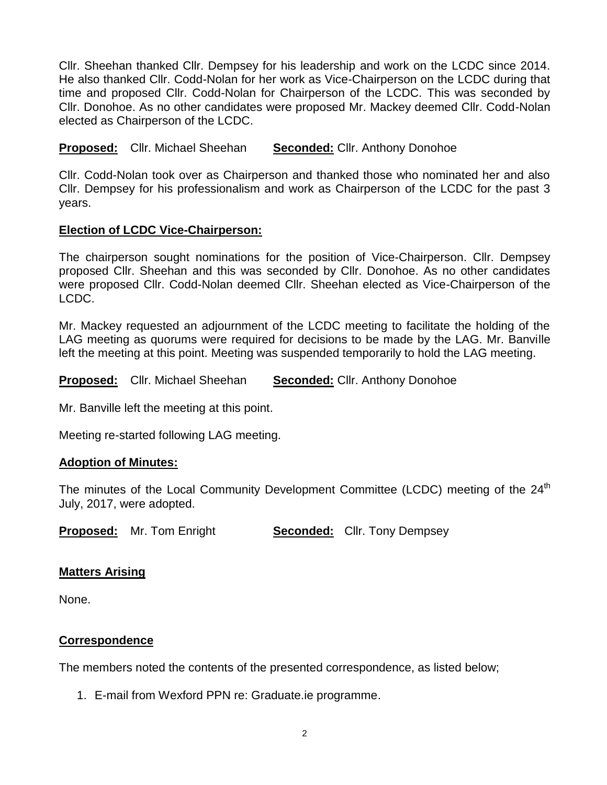Cllr. Sheehan thanked Cllr. Dempsey for his leadership and work on the LCDC since 2014. He also thanked Cllr. Codd-Nolan for her work as Vice-Chairperson on the LCDC during that time and proposed Cllr. Codd-Nolan for Chairperson of the LCDC. This was seconded by Cllr. Donohoe. As no other candidates were proposed Mr. Mackey deemed Cllr. Codd-Nolan elected as Chairperson of the LCDC.

**Proposed:** Cllr. Michael Sheehan **Seconded:** Cllr. Anthony Donohoe

Cllr. Codd-Nolan took over as Chairperson and thanked those who nominated her and also Cllr. Dempsey for his professionalism and work as Chairperson of the LCDC for the past 3 years.

# **Election of LCDC Vice-Chairperson:**

The chairperson sought nominations for the position of Vice-Chairperson. Cllr. Dempsey proposed Cllr. Sheehan and this was seconded by Cllr. Donohoe. As no other candidates were proposed Cllr. Codd-Nolan deemed Cllr. Sheehan elected as Vice-Chairperson of the LCDC.

Mr. Mackey requested an adjournment of the LCDC meeting to facilitate the holding of the LAG meeting as quorums were required for decisions to be made by the LAG. Mr. Banville left the meeting at this point. Meeting was suspended temporarily to hold the LAG meeting.

**Proposed:** Cllr. Michael Sheehan **Seconded:** Cllr. Anthony Donohoe

Mr. Banville left the meeting at this point.

Meeting re-started following LAG meeting.

## **Adoption of Minutes:**

The minutes of the Local Community Development Committee (LCDC) meeting of the 24<sup>th</sup> July, 2017, were adopted.

**Proposed:** Mr. Tom Enright **Seconded:** Cllr. Tony Dempsey

# **Matters Arising**

None.

# **Correspondence**

The members noted the contents of the presented correspondence, as listed below;

1. E-mail from Wexford PPN re: Graduate.ie programme.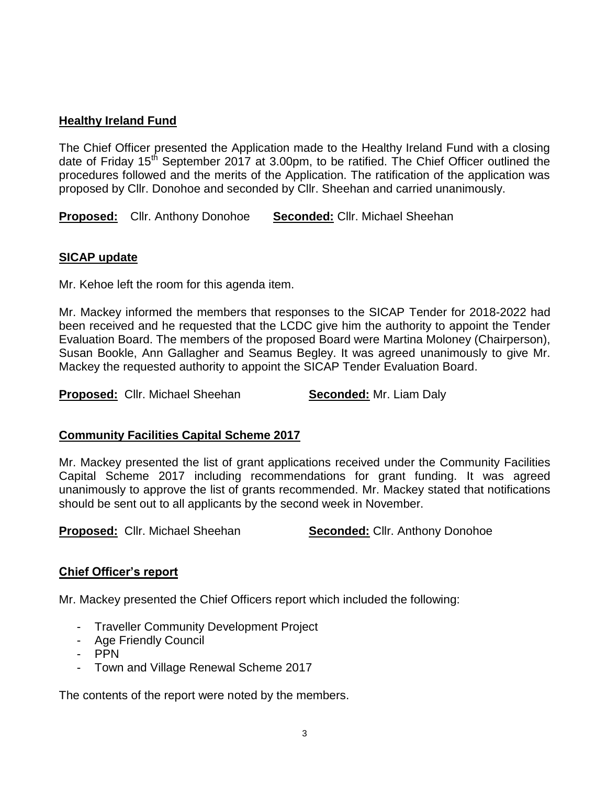## **Healthy Ireland Fund**

The Chief Officer presented the Application made to the Healthy Ireland Fund with a closing date of Friday 15<sup>th</sup> September 2017 at 3.00pm, to be ratified. The Chief Officer outlined the procedures followed and the merits of the Application. The ratification of the application was proposed by Cllr. Donohoe and seconded by Cllr. Sheehan and carried unanimously.

**Proposed:** Cllr. Anthony Donohoe **Seconded:** Cllr. Michael Sheehan

# **SICAP update**

Mr. Kehoe left the room for this agenda item.

Mr. Mackey informed the members that responses to the SICAP Tender for 2018-2022 had been received and he requested that the LCDC give him the authority to appoint the Tender Evaluation Board. The members of the proposed Board were Martina Moloney (Chairperson), Susan Bookle, Ann Gallagher and Seamus Begley. It was agreed unanimously to give Mr. Mackey the requested authority to appoint the SICAP Tender Evaluation Board.

**Proposed:** Cllr. Michael Sheehan **Seconded:** Mr. Liam Daly

## **Community Facilities Capital Scheme 2017**

Mr. Mackey presented the list of grant applications received under the Community Facilities Capital Scheme 2017 including recommendations for grant funding. It was agreed unanimously to approve the list of grants recommended. Mr. Mackey stated that notifications should be sent out to all applicants by the second week in November.

**Proposed:** Cllr. Michael Sheehan **Seconded:** Cllr. Anthony Donohoe

## **Chief Officer's report**

Mr. Mackey presented the Chief Officers report which included the following:

- Traveller Community Development Project
- Age Friendly Council
- PPN
- Town and Village Renewal Scheme 2017

The contents of the report were noted by the members.